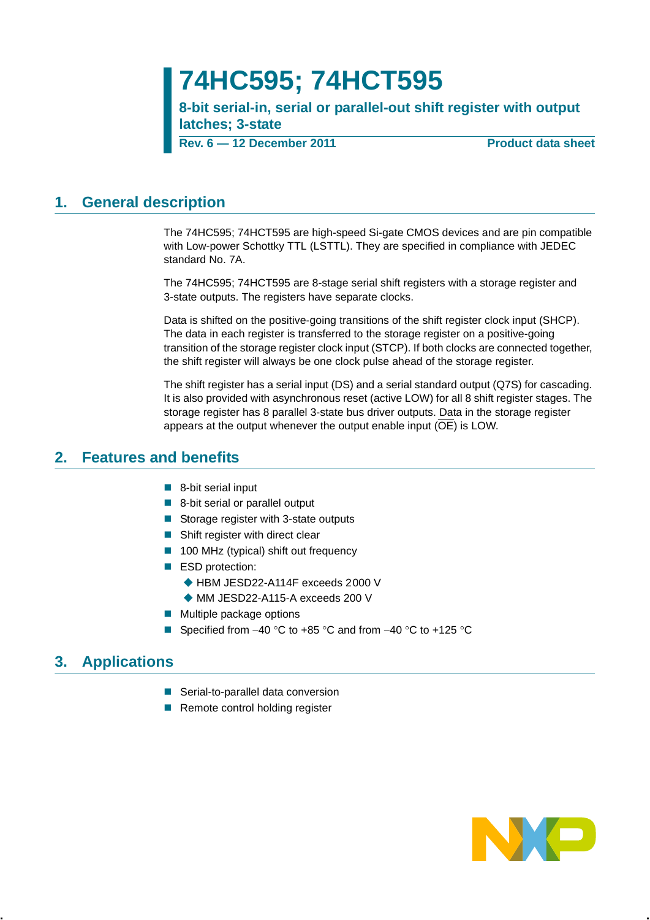# **74HC595; 74HCT595**

**8-bit serial-in, serial or parallel-out shift register with output latches; 3-state**

**Rev. 6 — 12 December 2011 Product data sheet**

## <span id="page-0-0"></span>**1. General description**

The 74HC595; 74HCT595 are high-speed Si-gate CMOS devices and are pin compatible with Low-power Schottky TTL (LSTTL). They are specified in compliance with JEDEC standard No. 7A.

The 74HC595; 74HCT595 are 8-stage serial shift registers with a storage register and 3-state outputs. The registers have separate clocks.

Data is shifted on the positive-going transitions of the shift register clock input (SHCP). The data in each register is transferred to the storage register on a positive-going transition of the storage register clock input (STCP). If both clocks are connected together, the shift register will always be one clock pulse ahead of the storage register.

The shift register has a serial input (DS) and a serial standard output (Q7S) for cascading. It is also provided with asynchronous reset (active LOW) for all 8 shift register stages. The storage register has 8 parallel 3-state bus driver outputs. Data in the storage register appears at the output whenever the output enable input (OE) is LOW.

## <span id="page-0-1"></span>**2. Features and benefits**

- 8-bit serial input
- 8-bit serial or parallel output
- Storage register with 3-state outputs
- Shift register with direct clear
- 100 MHz (typical) shift out frequency
- ESD protection:
	- ◆ HBM JESD22-A114F exceeds 2000 V
	- ◆ MM JESD22-A115-A exceeds 200 V
- $\blacksquare$  Multiple package options
- Specified from  $-40$  °C to  $+85$  °C and from  $-40$  °C to  $+125$  °C

## <span id="page-0-2"></span>**3. Applications**

- Serial-to-parallel data conversion
- Remote control holding register

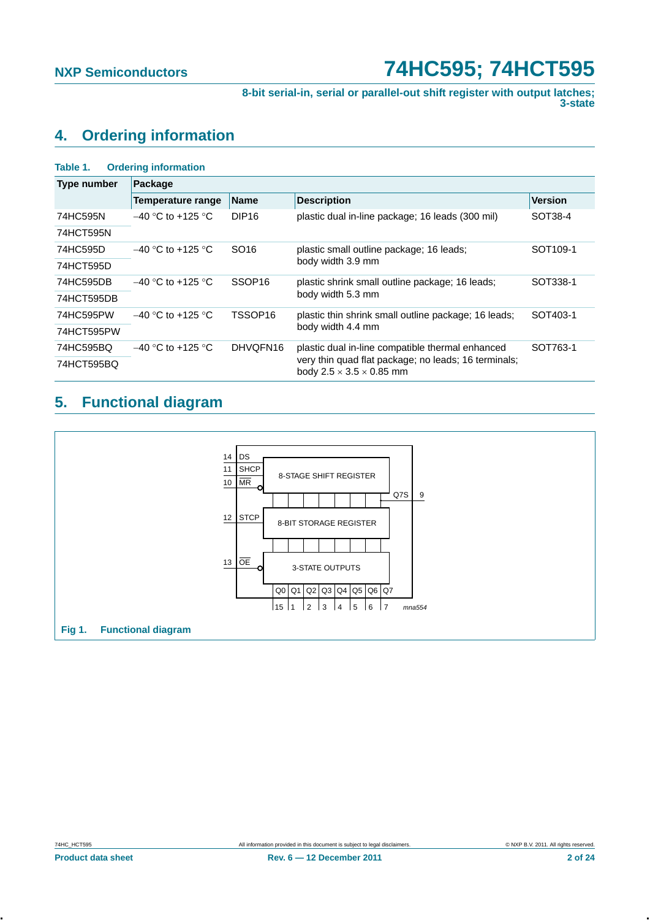**8-bit serial-in, serial or parallel-out shift register with output latches; 3-state**

## <span id="page-1-0"></span>**4. Ordering information**

| <b>Ordering information</b><br>Table 1. |                          |                    |                                                                                              |                      |  |  |  |  |  |  |  |
|-----------------------------------------|--------------------------|--------------------|----------------------------------------------------------------------------------------------|----------------------|--|--|--|--|--|--|--|
| <b>Type number</b>                      | Package                  |                    |                                                                                              |                      |  |  |  |  |  |  |  |
|                                         | <b>Temperature range</b> | <b>Name</b>        | <b>Description</b>                                                                           | <b>Version</b>       |  |  |  |  |  |  |  |
| 74HC595N                                | $-40$ °C to +125 °C      | DIP <sub>16</sub>  | plastic dual in-line package; 16 leads (300 mil)                                             | SOT38-4              |  |  |  |  |  |  |  |
| 74HCT595N                               |                          |                    |                                                                                              |                      |  |  |  |  |  |  |  |
| 74HC595D                                | $-40$ °C to +125 °C      | SO <sub>16</sub>   | plastic small outline package; 16 leads;                                                     | SOT <sub>109-1</sub> |  |  |  |  |  |  |  |
| 74HCT595D                               |                          |                    | body width 3.9 mm                                                                            |                      |  |  |  |  |  |  |  |
| 74HC595DB                               | $-40$ °C to +125 °C      | SSOP <sub>16</sub> | plastic shrink small outline package; 16 leads;                                              | SOT338-1             |  |  |  |  |  |  |  |
| 74HCT595DB                              |                          |                    | body width 5.3 mm                                                                            |                      |  |  |  |  |  |  |  |
| 74HC595PW                               | $-40$ °C to +125 °C      | TSSOP16            | plastic thin shrink small outline package; 16 leads;                                         | SOT403-1             |  |  |  |  |  |  |  |
| 74HCT595PW                              |                          |                    | body width 4.4 mm                                                                            |                      |  |  |  |  |  |  |  |
| 74HC595BQ                               | $-40$ °C to +125 °C      | DHVQFN16           | plastic dual in-line compatible thermal enhanced                                             | SOT763-1             |  |  |  |  |  |  |  |
| 74HCT595BQ                              |                          |                    | very thin quad flat package; no leads; 16 terminals;<br>body $2.5 \times 3.5 \times 0.85$ mm |                      |  |  |  |  |  |  |  |

## <span id="page-1-1"></span>**5. Functional diagram**

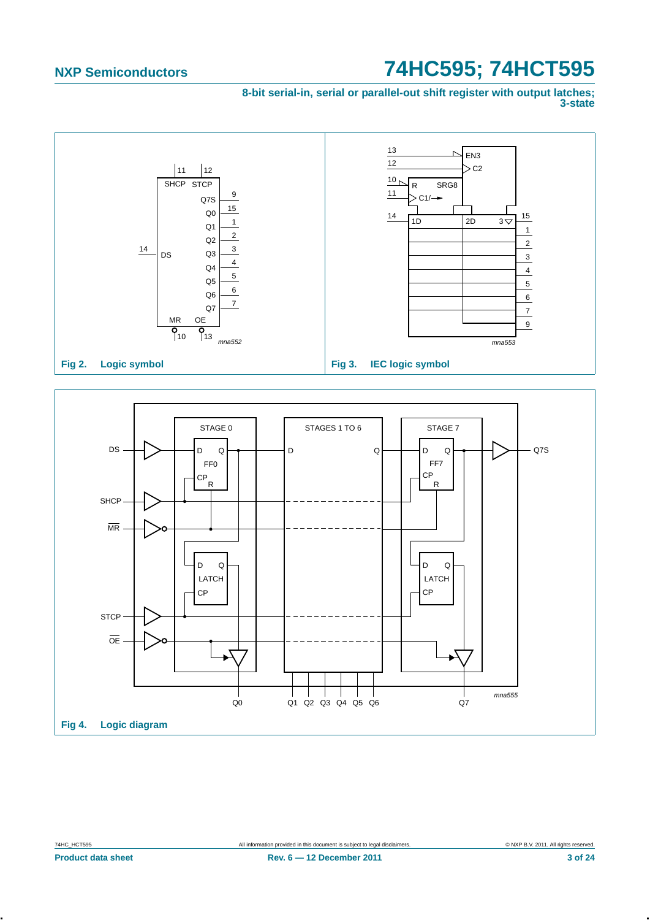**8-bit serial-in, serial or parallel-out shift register with output latches; 3-state**



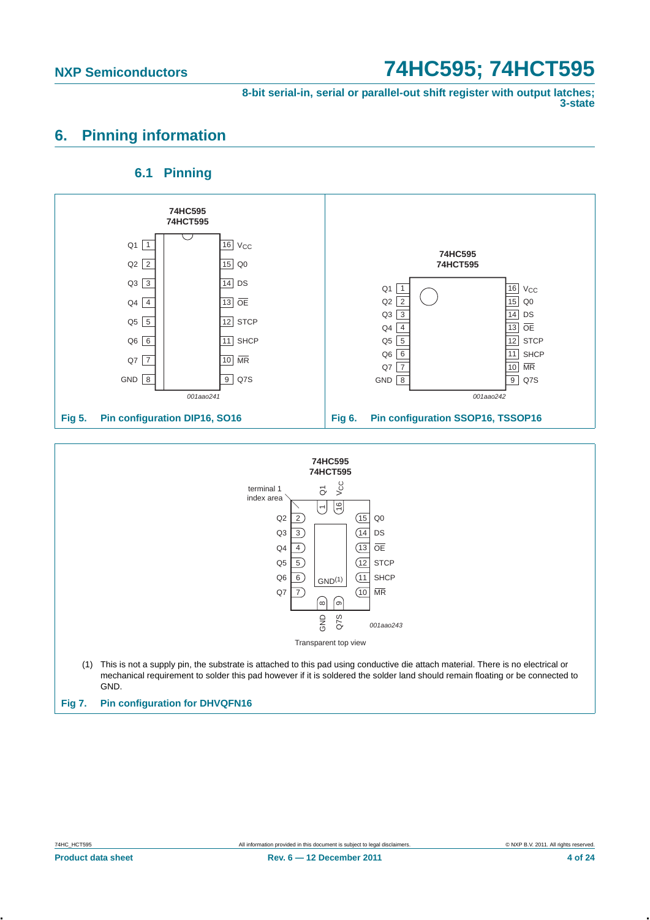**8-bit serial-in, serial or parallel-out shift register with output latches; 3-state**

## <span id="page-3-0"></span>**6. Pinning information**

### **6.1 Pinning**

<span id="page-3-1"></span>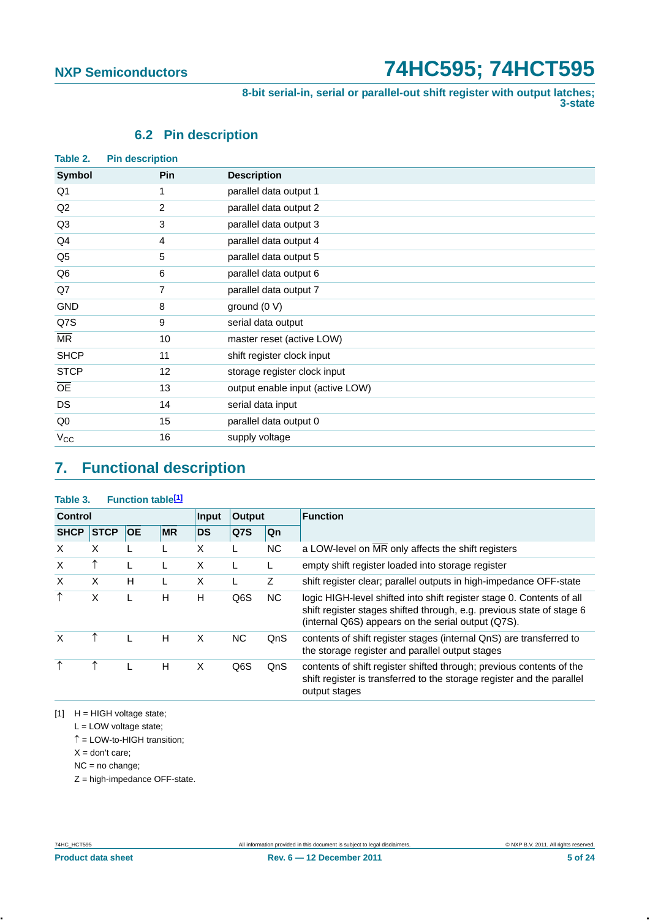**8-bit serial-in, serial or parallel-out shift register with output latches; 3-state**

## **6.2 Pin description**

<span id="page-4-1"></span>

| Table 2.               | <b>Pin description</b> |                                  |
|------------------------|------------------------|----------------------------------|
| <b>Symbol</b>          | Pin                    | <b>Description</b>               |
| Q1                     | 1                      | parallel data output 1           |
| Q2                     | 2                      | parallel data output 2           |
| Q <sub>3</sub>         | 3                      | parallel data output 3           |
| Q4                     | 4                      | parallel data output 4           |
| Q <sub>5</sub>         | 5                      | parallel data output 5           |
| Q6                     | 6                      | parallel data output 6           |
| Q7                     | 7                      | parallel data output 7           |
| <b>GND</b>             | 8                      | ground (0 V)                     |
| Q7S                    | 9                      | serial data output               |
| $\overline{\text{MR}}$ | 10                     | master reset (active LOW)        |
| <b>SHCP</b>            | 11                     | shift register clock input       |
| <b>STCP</b>            | 12                     | storage register clock input     |
| <b>OE</b>              | 13                     | output enable input (active LOW) |
| <b>DS</b>              | 14                     | serial data input                |
| Q <sub>0</sub>         | 15                     | parallel data output 0           |
| $V_{\rm CC}$           | 16                     | supply voltage                   |
|                        |                        |                                  |

## <span id="page-4-2"></span>**7. Functional description**

### Table 3. Function table<sup>[1]</sup>

| <b>Control</b> |             |           |           | Input     | Output           |           | <b>Function</b>                                                                                                                                                                                      |
|----------------|-------------|-----------|-----------|-----------|------------------|-----------|------------------------------------------------------------------------------------------------------------------------------------------------------------------------------------------------------|
| <b>SHCP</b>    | <b>STCP</b> | <b>OE</b> | <b>MR</b> | <b>DS</b> | Q7S              | <b>Qn</b> |                                                                                                                                                                                                      |
| $\times$       | X           |           |           | X         |                  | NC.       | a LOW-level on MR only affects the shift registers                                                                                                                                                   |
| X              |             |           |           | X         |                  | L         | empty shift register loaded into storage register                                                                                                                                                    |
| $\times$       | X           | H         | L         | X         |                  | Z         | shift register clear; parallel outputs in high-impedance OFF-state                                                                                                                                   |
| ↑              | X           | L         | н         | н         | Q <sub>6</sub> S | NC.       | logic HIGH-level shifted into shift register stage 0. Contents of all<br>shift register stages shifted through, e.g. previous state of stage 6<br>(internal Q6S) appears on the serial output (Q7S). |
| X              |             |           | н         | X         | <b>NC</b>        | QnS       | contents of shift register stages (internal QnS) are transferred to<br>the storage register and parallel output stages                                                                               |
| ↑              |             |           | Н         | X         | Q6S              | QnS       | contents of shift register shifted through; previous contents of the<br>shift register is transferred to the storage register and the parallel<br>output stages                                      |

<span id="page-4-0"></span>[1] H = HIGH voltage state;

 $L =$  LOW voltage state;

 $\uparrow$  = LOW-to-HIGH transition;

 $X =$  don't care;

NC = no change;

Z = high-impedance OFF-state.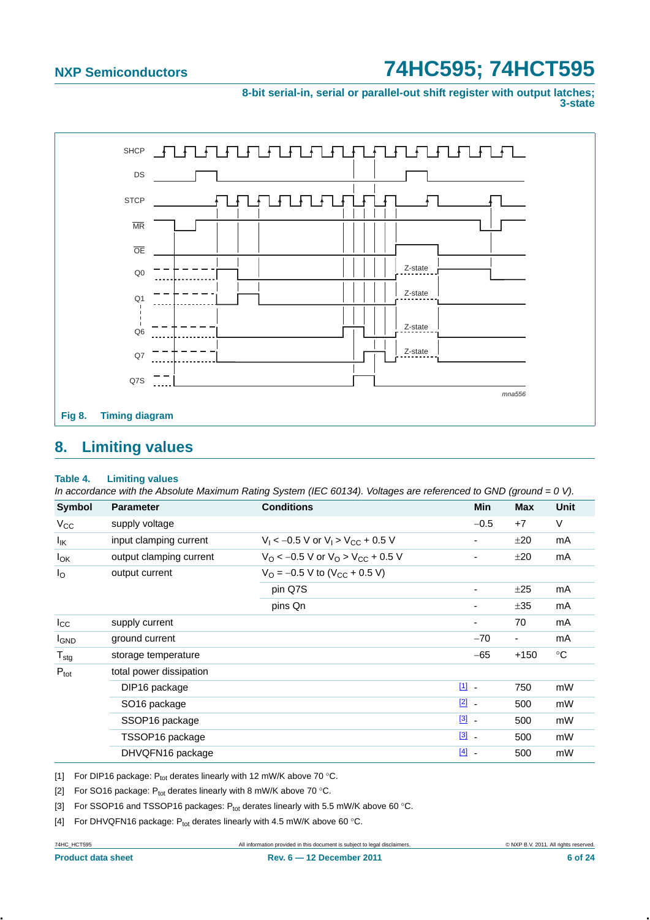**8-bit serial-in, serial or parallel-out shift register with output latches; 3-state**



## <span id="page-5-4"></span>**8. Limiting values**

### **Table 4. Limiting values**

*In accordance with the Absolute Maximum Rating System (IEC 60134). Voltages are referenced to GND (ground = 0 V).*

| <b>Symbol</b>    | <b>Parameter</b>         | <b>Conditions</b>                                             | Min                               | <b>Max</b>     | <b>Unit</b> |
|------------------|--------------------------|---------------------------------------------------------------|-----------------------------------|----------------|-------------|
| $V_{CC}$         | supply voltage           |                                                               | $-0.5$                            | $+7$           | V           |
| $I_{IK}$         | input clamping current   | $V_1$ < -0.5 V or $V_1$ > $V_{CC}$ + 0.5 V                    | ۰                                 | ±20            | mA          |
| $I_{OK}$         | output clamping current  | $V_{\rm O}$ < -0.5 V or $V_{\rm O}$ > V <sub>CC</sub> + 0.5 V | -                                 | ±20            | mA          |
| $I_{\rm O}$      | output current           | $V_O = -0.5$ V to $(V_{CC} + 0.5$ V)                          |                                   |                |             |
|                  |                          | pin Q7S                                                       | $\overline{\phantom{a}}$          | ±25            | mA          |
|                  |                          | pins Qn                                                       |                                   | ±35            | mA          |
| $I_{\rm CC}$     | supply current           |                                                               | $\overline{\phantom{a}}$          | 70             | mA          |
| <b>I</b> GND     | ground current           |                                                               | $-70$                             | $\blacksquare$ | mA          |
| $T_{\text{stg}}$ | storage temperature      |                                                               | -65                               | $+150$         | $^{\circ}C$ |
| $P_{\text{tot}}$ | total power dissipation  |                                                               |                                   |                |             |
|                  | DIP16 package            |                                                               | $\boxed{1}$                       | 750            | mW          |
|                  | SO <sub>16</sub> package |                                                               | $\boxed{2}$                       | 500            | mW          |
|                  | SSOP16 package           |                                                               | $\boxed{3}$ .                     | 500            | mW          |
|                  | TSSOP16 package          |                                                               | $[3]$<br>$\sim$                   | 500            | mW          |
|                  | DHVQFN16 package         |                                                               | $[4]$<br>$\overline{\phantom{a}}$ | 500            | mW          |

<span id="page-5-0"></span>[1] For DIP16 package:  $P_{tot}$  derates linearly with 12 mW/K above 70 °C.

<span id="page-5-1"></span>[1] For SO16 package:  $P_{\text{tot}}$  derates linearly with 12 mw/K above 70  $\degree$ C.<br>[2] For SO16 package:  $P_{\text{tot}}$  derates linearly with 8 mW/K above 70  $\degree$ C.

<span id="page-5-2"></span>[3] For SSOP16 and TSSOP16 packages:  $P_{tot}$  derates linearly with 5.5 mW/K above 60 °C.

<span id="page-5-3"></span>[4] For DHVQFN16 package:  $P_{tot}$  derates linearly with 4.5 mW/K above 60 °C.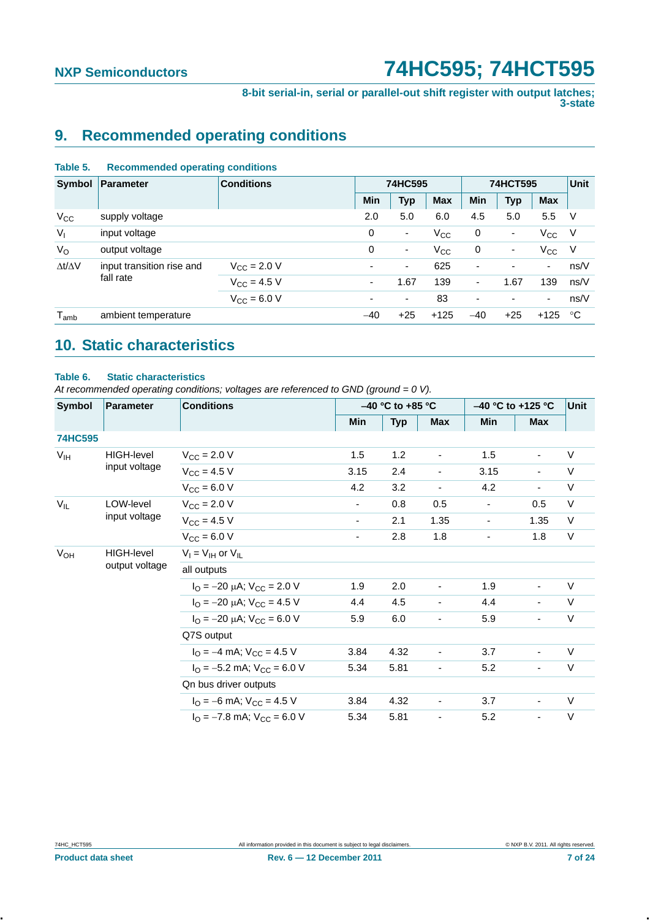**8-bit serial-in, serial or parallel-out shift register with output latches; 3-state**

## <span id="page-6-0"></span>**9. Recommended operating conditions**

### **Table 5. Recommended operating conditions**

| Symbol              | Parameter                 | <b>Conditions</b>    | 74HC595                  |                          |              | 74HCT595                 | Unit                     |              |      |
|---------------------|---------------------------|----------------------|--------------------------|--------------------------|--------------|--------------------------|--------------------------|--------------|------|
|                     |                           |                      | Min                      | <b>Typ</b>               | <b>Max</b>   | <b>Min</b>               | <b>Typ</b>               | <b>Max</b>   |      |
| $V_{\rm CC}$        | supply voltage            |                      | 2.0                      | 5.0                      | 6.0          | 4.5                      | 5.0                      | 5.5          | - V  |
| $V_{I}$             | input voltage             |                      | 0                        | $\overline{\phantom{a}}$ | $V_{\rm CC}$ | 0                        | ۰.                       | $V_{\rm CC}$ | -V   |
| $V_{\rm O}$         | output voltage            |                      | 0                        | $\overline{\phantom{a}}$ | $V_{\rm CC}$ | 0                        | $\blacksquare$           | $V_{\rm CC}$ | -V   |
| $\Delta t/\Delta V$ | input transition rise and | $V_{\rm CC}$ = 2.0 V | $\overline{\phantom{0}}$ | $\blacksquare$           | 625          | $\overline{\phantom{a}}$ | $\overline{\phantom{0}}$ | ۰.           | ns/V |
|                     | fall rate                 | $V_{\rm CC} = 4.5 V$ | ٠                        | 1.67                     | 139          | $\overline{\phantom{a}}$ | 1.67                     | 139          | ns/V |
|                     |                           | $V_{\rm CC} = 6.0 V$ | ۰                        | $\overline{\phantom{a}}$ | 83           | $\overline{\phantom{a}}$ | ٠                        | ۰.           | ns/V |
| $T_{amb}$           | ambient temperature       |                      | $-40$                    | $+25$                    | $+125$       | $-40$                    | $+25$                    | $+125$       | °C   |

## <span id="page-6-1"></span>**10. Static characteristics**

### **Table 6. Static characteristics**

*At recommended operating conditions; voltages are referenced to GND (ground = 0 V).*

| <b>Symbol</b>                       | <b>Conditions</b><br>Parameter |                                                                    |                          | $-40$ °C to +85 °C |                          | $-40$ °C to +125 °C | <b>Unit</b>              |        |
|-------------------------------------|--------------------------------|--------------------------------------------------------------------|--------------------------|--------------------|--------------------------|---------------------|--------------------------|--------|
|                                     |                                |                                                                    | Min                      | <b>Typ</b>         | <b>Max</b>               | <b>Min</b>          | <b>Max</b>               |        |
| <b>74HC595</b>                      |                                |                                                                    |                          |                    |                          |                     |                          |        |
| V <sub>IH</sub>                     | HIGH-level                     | $V_{\rm CC}$ = 2.0 V                                               | 1.5                      | 1.2                | $\overline{\phantom{a}}$ | 1.5                 | $\blacksquare$           | $\vee$ |
|                                     | input voltage                  | $V_{\text{CC}} = 4.5 V$                                            | 3.15                     | 2.4                | $\blacksquare$           | 3.15                | $\blacksquare$           | $\vee$ |
|                                     |                                | $V_{CC} = 6.0 V$                                                   | 4.2                      | 3.2                | $\overline{\phantom{a}}$ | 4.2                 | $\blacksquare$           | $\vee$ |
| $V_{IL}$                            | LOW-level<br>input voltage     | $V_{\text{CC}} = 2.0 V$                                            | ۰.                       | 0.8                | 0.5                      | $\blacksquare$      | 0.5                      | $\vee$ |
|                                     |                                | $V_{CC}$ = 4.5 V                                                   | $\overline{\phantom{0}}$ | 2.1                | 1.35                     | $\blacksquare$      | 1.35                     | $\vee$ |
|                                     |                                | $V_{CC}$ = 6.0 V                                                   | $\overline{\phantom{0}}$ | 2.8                | 1.8                      | $\blacksquare$      | 1.8                      | $\vee$ |
| <b>V<sub>OH</sub></b><br>HIGH-level | $V_I = V_{IH}$ or $V_{IL}$     |                                                                    |                          |                    |                          |                     |                          |        |
|                                     | output voltage                 | all outputs                                                        |                          |                    |                          |                     |                          |        |
|                                     |                                | $I_{\text{O}} = -20 \mu\text{A}$ ; $V_{\text{CC}} = 2.0 \text{ V}$ | 1.9                      | 2.0                | $\overline{\phantom{a}}$ | 1.9                 |                          | V      |
|                                     |                                | $I_{\text{O}} = -20 \mu\text{A}$ ; $V_{\text{CC}} = 4.5 \text{ V}$ | 4.4                      | 4.5                | $\blacksquare$           | 4.4                 |                          | $\vee$ |
|                                     |                                | $I_{\text{O}} = -20 \mu\text{A}$ ; $V_{\text{CC}} = 6.0 \text{ V}$ | 5.9                      | 6.0                | $\blacksquare$           | 5.9                 |                          | $\vee$ |
|                                     |                                | Q7S output                                                         |                          |                    |                          |                     |                          |        |
|                                     |                                | $I_{\Omega}$ = -4 mA; $V_{\text{CC}}$ = 4.5 V                      | 3.84                     | 4.32               | $\overline{\phantom{a}}$ | 3.7                 | $\overline{\phantom{a}}$ | V      |
|                                     |                                | $I_{\Omega}$ = -5.2 mA; $V_{\text{CC}}$ = 6.0 V                    | 5.34                     | 5.81               | $\blacksquare$           | 5.2                 |                          | $\vee$ |
|                                     |                                | Qn bus driver outputs                                              |                          |                    |                          |                     |                          |        |
|                                     |                                | $I_{\text{O}} = -6 \text{ mA}$ ; $V_{\text{CC}} = 4.5 \text{ V}$   | 3.84                     | 4.32               | $\overline{\phantom{a}}$ | 3.7                 | $\blacksquare$           | $\vee$ |
|                                     |                                | $I_{\Omega}$ = -7.8 mA; $V_{\text{CC}}$ = 6.0 V                    | 5.34                     | 5.81               | $\overline{\phantom{a}}$ | 5.2                 | $\overline{\phantom{a}}$ | $\vee$ |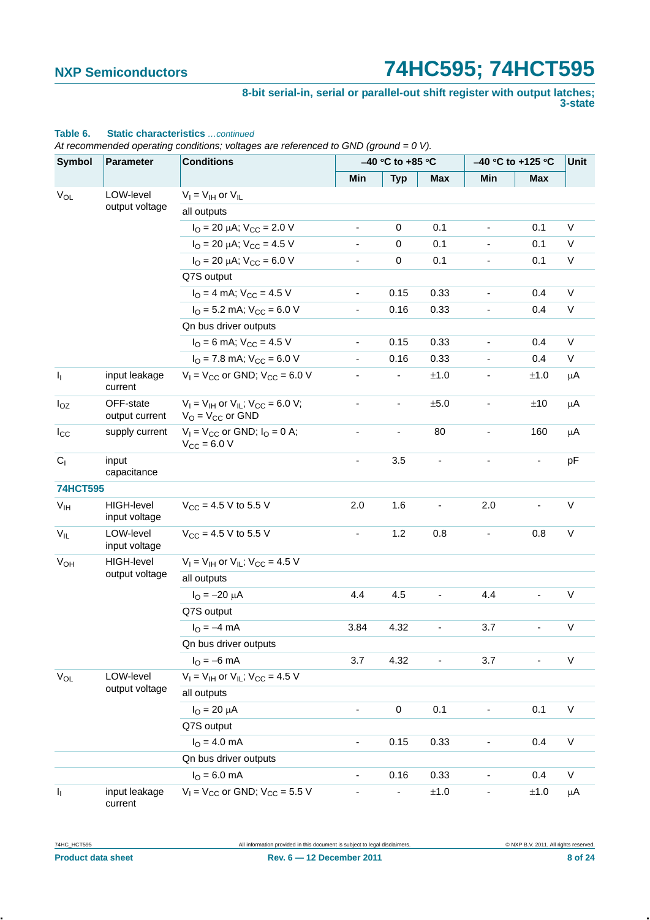### **8-bit serial-in, serial or parallel-out shift register with output latches; 3-state**

| <b>Symbol</b>   | <b>Parameter</b>                   | <b>Conditions</b>                                                       |                | -40 °C to +85 °C         |                              |                          | $-40$ °C to +125 °C | <b>Unit</b>  |
|-----------------|------------------------------------|-------------------------------------------------------------------------|----------------|--------------------------|------------------------------|--------------------------|---------------------|--------------|
|                 |                                    |                                                                         | Min            | <b>Typ</b>               | Max                          | Min                      | Max                 |              |
| $V_{OL}$        | LOW-level                          | $V_I = V_{IH}$ or $V_{IL}$                                              |                |                          |                              |                          |                     |              |
|                 | output voltage                     | all outputs                                                             |                |                          |                              |                          |                     |              |
|                 |                                    | $I_{\text{O}}$ = 20 µA; $V_{\text{CC}}$ = 2.0 V                         | ٠              | 0                        | 0.1                          | $\frac{1}{2}$            | 0.1                 | V            |
|                 |                                    | $I_{\text{O}} = 20 \mu\text{A}$ ; $V_{\text{CC}} = 4.5 \text{ V}$       |                | 0                        | 0.1                          |                          | 0.1                 | V            |
|                 |                                    | $I_{\text{O}}$ = 20 µA; $V_{\text{CC}}$ = 6.0 V                         |                | 0                        | 0.1                          | -                        | 0.1                 | $\mathsf{V}$ |
|                 |                                    | Q7S output                                                              |                |                          |                              |                          |                     |              |
|                 |                                    | $I_{\Omega}$ = 4 mA; $V_{\text{CC}}$ = 4.5 V                            | ٠              | 0.15                     | 0.33                         | $\blacksquare$           | 0.4                 | V            |
|                 |                                    | $IO$ = 5.2 mA; $VCC$ = 6.0 V                                            |                | 0.16                     | 0.33                         |                          | 0.4                 | $\vee$       |
|                 |                                    | Qn bus driver outputs                                                   |                |                          |                              |                          |                     |              |
|                 |                                    | $I_{\text{O}} = 6 \text{ mA}$ ; $V_{\text{CC}} = 4.5 \text{ V}$         |                | 0.15                     | 0.33                         |                          | 0.4                 | $\mathsf V$  |
|                 |                                    | $IO$ = 7.8 mA; $VCC$ = 6.0 V                                            |                | 0.16                     | 0.33                         |                          | 0.4                 | V            |
| ı,              | input leakage<br>current           | $V_1 = V_{CC}$ or GND; $V_{CC} = 6.0$ V                                 |                |                          | ±1.0                         |                          | ±1.0                | $\mu$ A      |
| $I_{OZ}$        | OFF-state<br>output current        | $V_I = V_{IH}$ or $V_{IL}$ ; $V_{CC} = 6.0$ V;<br>$V_O = V_{CC}$ or GND |                | $\overline{\phantom{0}}$ | $\pm 5.0$                    | $\overline{\phantom{0}}$ | ±10                 | μA           |
| $I_{\rm CC}$    | supply current                     | $V_1$ = $V_{CC}$ or GND; $I_Q$ = 0 A;<br>$V_{\text{CC}} = 6.0 V$        | $\blacksquare$ | $\overline{\phantom{a}}$ | 80                           | $\frac{1}{2}$            | 160                 | μA           |
| C <sub>1</sub>  | input<br>capacitance               |                                                                         |                | 3.5                      |                              |                          |                     | pF           |
| <b>74HCT595</b> |                                    |                                                                         |                |                          |                              |                          |                     |              |
| V <sub>IH</sub> | <b>HIGH-level</b><br>input voltage | $V_{CC}$ = 4.5 V to 5.5 V                                               | 2.0            | 1.6                      |                              | 2.0                      |                     | $\vee$       |
| $V_{IL}$        | LOW-level<br>input voltage         | $V_{CC}$ = 4.5 V to 5.5 V                                               |                | 1.2                      | 0.8                          |                          | 0.8                 | V            |
| $V_{OH}$        | <b>HIGH-level</b>                  | $V_1 = V_{1H}$ or $V_{1L}$ ; $V_{CC} = 4.5$ V                           |                |                          |                              |                          |                     |              |
|                 | output voltage                     | all outputs                                                             |                |                          |                              |                          |                     |              |
|                 |                                    | $I_{\Omega} = -20 \mu A$                                                | 4.4            | 4.5                      | $\frac{1}{2}$                | 4.4                      | $\blacksquare$      | V            |
|                 |                                    | Q7S output                                                              |                |                          |                              |                          |                     |              |
|                 |                                    | $I_{O} = -4$ mA                                                         | 3.84           | 4.32                     | $\qquad \qquad \blacksquare$ | 3.7                      |                     | V            |
|                 |                                    | Qn bus driver outputs                                                   |                |                          |                              |                          |                     |              |
|                 |                                    | $I_{O} = -6$ mA                                                         | 3.7            | 4.32                     |                              | 3.7                      |                     | V            |
| $V_{OL}$        | LOW-level                          | $V_1 = V_{1H}$ or $V_{1L}$ ; $V_{CC} = 4.5$ V                           |                |                          |                              |                          |                     |              |
|                 | output voltage                     | all outputs                                                             |                |                          |                              |                          |                     |              |
|                 |                                    | $I_{O} = 20 \mu A$                                                      |                | 0                        | 0.1                          |                          | 0.1                 | $\sf V$      |
|                 |                                    | Q7S output                                                              |                |                          |                              |                          |                     |              |
|                 |                                    | $IO = 4.0 mA$                                                           |                | 0.15                     | 0.33                         |                          | 0.4                 | V            |
|                 |                                    | Qn bus driver outputs                                                   |                |                          |                              |                          |                     |              |
|                 |                                    | $IO = 6.0 mA$                                                           |                | 0.16                     | 0.33                         |                          | 0.4                 | V            |
| ı,              | input leakage<br>current           | $V_1 = V_{CC}$ or GND; $V_{CC} = 5.5$ V                                 |                | -                        | $\pm 1.0$                    |                          | $\pm 1.0$           | μA           |

## **Table 6. Static characteristics** *…continued*

*At recommended operating conditions; voltages are referenced to GND (ground = 0 V).*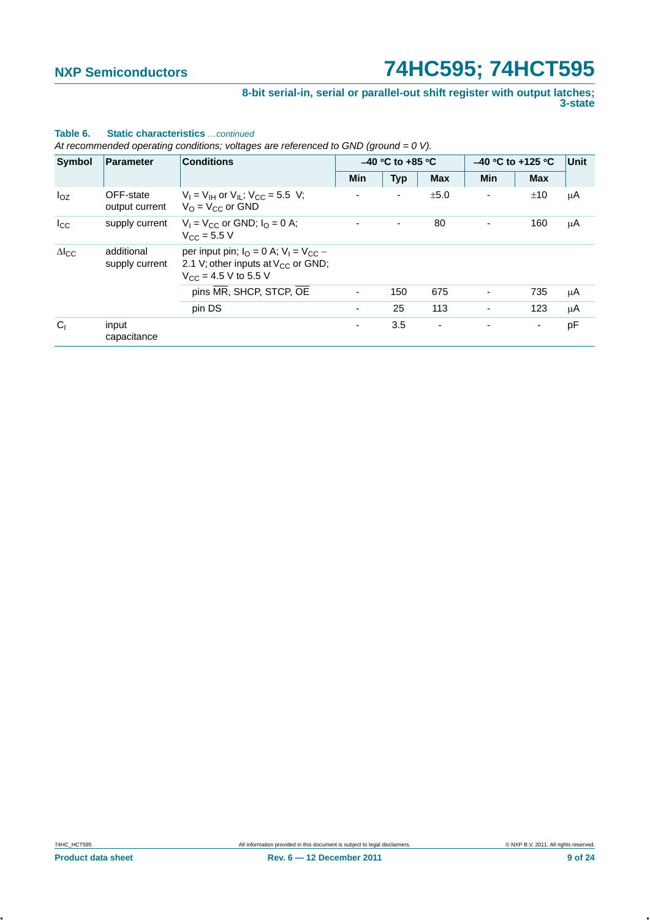### **8-bit serial-in, serial or parallel-out shift register with output latches; 3-state**

| <b>Symbol</b>   | Parameter                    | <b>Conditions</b>                                                                                                                |                | $-40$ °C to +85 °C |                          |            | $-40$ °C to +125 °C | Unit |
|-----------------|------------------------------|----------------------------------------------------------------------------------------------------------------------------------|----------------|--------------------|--------------------------|------------|---------------------|------|
|                 |                              |                                                                                                                                  | <b>Min</b>     | <b>Typ</b>         | <b>Max</b>               | <b>Min</b> | <b>Max</b>          |      |
| $I_{OZ}$        | OFF-state<br>output current  | $V_1 = V_{1H}$ or $V_{1I}$ ; $V_{CC} = 5.5$ V;<br>$V_{\Omega}$ = $V_{\text{CC}}$ or GND                                          |                | $\overline{a}$     | ±5.0                     | ٠          | ±10                 | μA   |
| $I_{\rm CC}$    | supply current               | $V_1 = V_{CC}$ or GND; $I_0 = 0$ A;<br>$V_{CC} = 5.5 V$                                                                          |                |                    | 80                       |            | 160                 | μA   |
| $\Delta I_{CC}$ | additional<br>supply current | per input pin; $I_{\Omega} = 0$ A; $V_1 = V_{\Omega}C$ –<br>2.1 V; other inputs at $V_{CC}$ or GND;<br>$V_{CC}$ = 4.5 V to 5.5 V |                |                    |                          |            |                     |      |
|                 |                              | pins MR, SHCP, STCP, OE                                                                                                          | $\blacksquare$ | 150                | 675                      | -          | 735                 | μA   |
|                 |                              | pin DS                                                                                                                           |                | 25                 | 113                      |            | 123                 | μA   |
| C <sub>1</sub>  | input<br>capacitance         |                                                                                                                                  | ۰.             | 3.5                | $\overline{\phantom{a}}$ |            | ۰.                  | pF   |

### **Table 6. Static characteristics** *…continued*

*At recommended operating conditions; voltages are referenced to GND (ground = 0 V)*.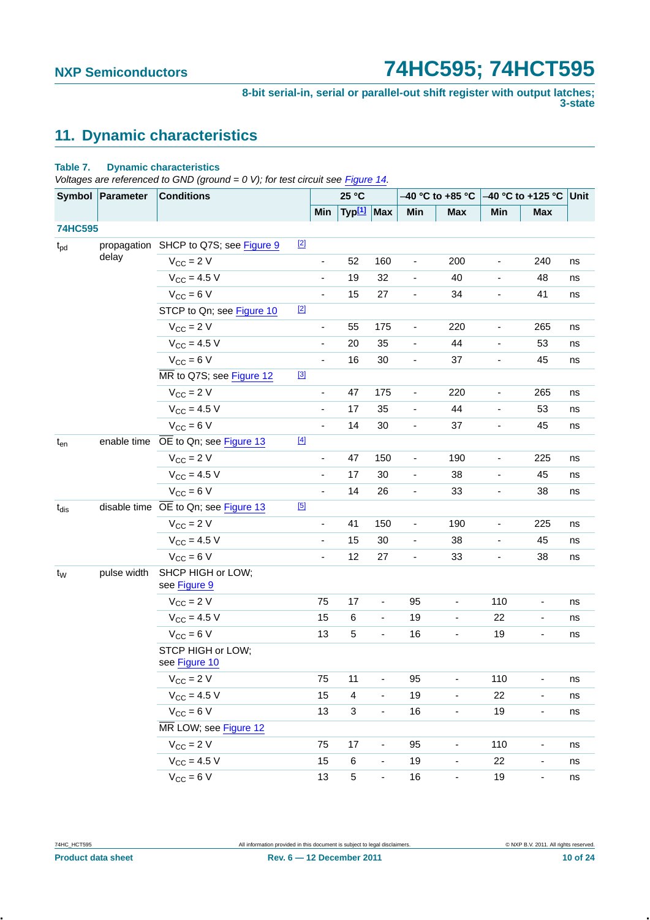**8-bit serial-in, serial or parallel-out shift register with output latches; 3-state**

## <span id="page-9-0"></span>**11. Dynamic characteristics**

### **Table 7. Dynamic characteristics**

*Voltages are referenced to GND (ground = 0 V); for test circuit see [Figure 14](#page-14-0).* 

|                | Symbol Parameter | <b>Conditions</b>                     |       |                              | 25 °C                   |                          |                              | –40 °C to +85 °C             | $-40$ °C to +125 °C Unit     |                              |    |
|----------------|------------------|---------------------------------------|-------|------------------------------|-------------------------|--------------------------|------------------------------|------------------------------|------------------------------|------------------------------|----|
|                |                  |                                       |       | Min                          | Typ <sup>[1]</sup>      | Max                      | Min                          | <b>Max</b>                   | Min                          | <b>Max</b>                   |    |
| <b>74HC595</b> |                  |                                       |       |                              |                         |                          |                              |                              |                              |                              |    |
| $t_{\rm pd}$   |                  | propagation SHCP to Q7S; see Figure 9 | $[2]$ |                              |                         |                          |                              |                              |                              |                              |    |
|                | delay            | $V_{CC}$ = 2 V                        |       | $\qquad \qquad \blacksquare$ | 52                      | 160                      | -                            | 200                          | $\overline{\phantom{a}}$     | 240                          | ns |
|                |                  | $V_{CC} = 4.5 V$                      |       |                              | 19                      | 32                       |                              | 40                           | $\qquad \qquad \blacksquare$ | 48                           | ns |
|                |                  | $V_{CC} = 6 V$                        |       | $\blacksquare$               | 15                      | 27                       | $\blacksquare$               | 34                           | $\overline{\phantom{a}}$     | 41                           | ns |
|                |                  | STCP to Qn; see Figure 10             | $[2]$ |                              |                         |                          |                              |                              |                              |                              |    |
|                |                  | $V_{CC}$ = 2 V                        |       | $\overline{\phantom{0}}$     | 55                      | 175                      | $\overline{\phantom{a}}$     | 220                          | $\overline{\phantom{a}}$     | 265                          | ns |
|                |                  | $V_{CC} = 4.5 V$                      |       |                              | 20                      | 35                       |                              | 44                           | $\blacksquare$               | 53                           | ns |
|                |                  | $V_{CC} = 6 V$                        |       | $\blacksquare$               | 16                      | 30                       | $\overline{\phantom{a}}$     | 37                           | $\overline{\phantom{a}}$     | 45                           | ns |
|                |                  | MR to Q7S; see Figure 12              | $[3]$ |                              |                         |                          |                              |                              |                              |                              |    |
|                |                  | $V_{CC}$ = 2 V                        |       | $\blacksquare$               | 47                      | 175                      | $\qquad \qquad \blacksquare$ | 220                          | $\overline{\phantom{a}}$     | 265                          | ns |
|                |                  | $V_{CC} = 4.5 V$                      |       | $\overline{\phantom{a}}$     | 17                      | 35                       |                              | 44                           | $\blacksquare$               | 53                           | ns |
|                |                  | $V_{CC} = 6 V$                        |       | $\blacksquare$               | 14                      | 30                       | $\blacksquare$               | 37                           | $\overline{\phantom{a}}$     | 45                           | ns |
| $t_{en}$       | enable time      | OE to Qn; see Figure 13               | $[4]$ |                              |                         |                          |                              |                              |                              |                              |    |
|                |                  | $V_{CC} = 2 V$                        |       | $\blacksquare$               | 47                      | 150                      | $\qquad \qquad \blacksquare$ | 190                          | $\overline{\phantom{a}}$     | 225                          | ns |
|                |                  | $V_{CC} = 4.5 V$                      |       | $\qquad \qquad \blacksquare$ | 17                      | 30                       | -                            | 38                           | $\qquad \qquad \blacksquare$ | 45                           | ns |
|                |                  | $V_{CC} = 6 V$                        |       | $\blacksquare$               | 14                      | 26                       | $\overline{\phantom{a}}$     | 33                           | $\overline{\phantom{a}}$     | 38                           | ns |
| $t_{dis}$      |                  | disable time OE to Qn; see Figure 13  | [5]   |                              |                         |                          |                              |                              |                              |                              |    |
|                |                  | $V_{CC} = 2 V$                        |       | $\qquad \qquad \blacksquare$ | 41                      | 150                      | -                            | 190                          | $\overline{\phantom{a}}$     | 225                          | ns |
|                |                  | $V_{CC} = 4.5 V$                      |       | $\qquad \qquad \blacksquare$ | 15                      | 30                       | -                            | 38                           | $\blacksquare$               | 45                           | ns |
|                |                  | $V_{CC} = 6 V$                        |       | $\qquad \qquad \blacksquare$ | 12                      | 27                       | $\blacksquare$               | 33                           | $\overline{\phantom{a}}$     | 38                           | ns |
| t <sub>w</sub> | pulse width      | SHCP HIGH or LOW;<br>see Figure 9     |       |                              |                         |                          |                              |                              |                              |                              |    |
|                |                  | $V_{CC}$ = 2 V                        |       | 75                           | 17                      | $\blacksquare$           | 95                           | $\overline{\phantom{0}}$     | 110                          | $\overline{\phantom{a}}$     | ns |
|                |                  | $V_{CC}$ = 4.5 V                      |       | 15                           | 6                       | $\blacksquare$           | 19                           | ÷,                           | 22                           | $\blacksquare$               | ns |
|                |                  | $V_{CC}$ = 6 V                        |       | 13                           | 5                       | $\blacksquare$           | 16                           | $\qquad \qquad \blacksquare$ | 19                           | $\overline{\phantom{a}}$     | ns |
|                |                  | STCP HIGH or LOW;<br>see Figure 10    |       |                              |                         |                          |                              |                              |                              |                              |    |
|                |                  | $V_{CC} = 2 V$                        |       | 75                           | 11                      |                          | 95                           | $\overline{\phantom{a}}$     | 110                          |                              | ns |
|                |                  | $V_{CC} = 4.5 V$                      |       | 15                           | $\overline{\mathbf{4}}$ | $\blacksquare$           | 19                           | ä,                           | 22                           |                              | ns |
|                |                  | $V_{CC} = 6 V$                        |       | 13                           | 3                       | ÷                        | 16                           |                              | 19                           |                              | ns |
|                |                  | MR LOW; see Figure 12                 |       |                              |                         |                          |                              |                              |                              |                              |    |
|                |                  | $V_{CC}$ = 2 V                        |       | 75                           | 17                      | ÷                        | 95                           |                              | 110                          | $\qquad \qquad \blacksquare$ | ns |
|                |                  | $V_{CC} = 4.5 V$                      |       | 15                           | 6                       | $\overline{\phantom{a}}$ | 19                           | $\blacksquare$               | 22                           | $\overline{\phantom{0}}$     | ns |
|                |                  | $V_{CC} = 6 V$                        |       | 13                           | 5                       | ÷                        | 16                           |                              | 19                           |                              | ns |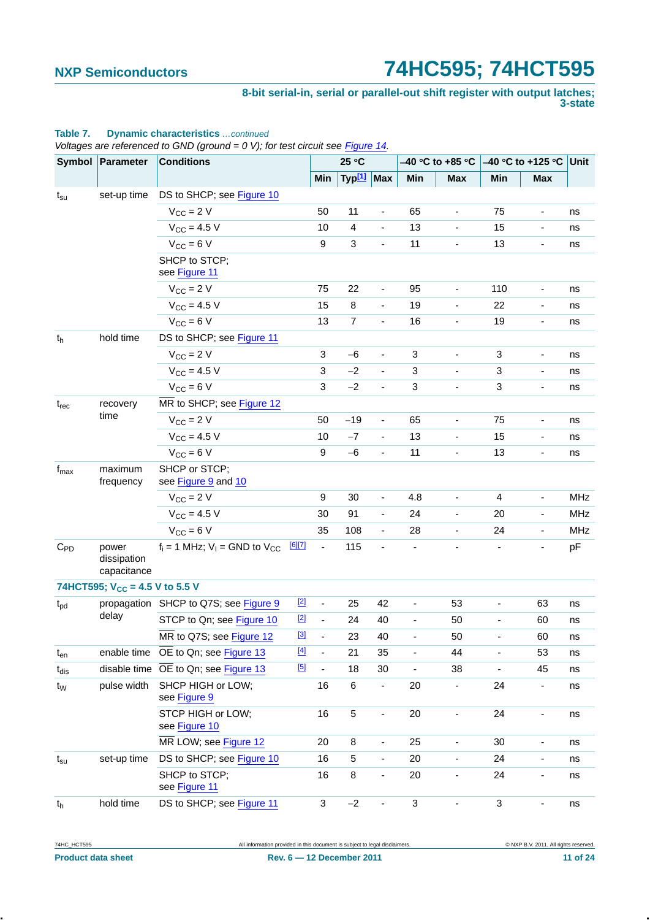**8-bit serial-in, serial or parallel-out shift register with output latches; 3-state**

|                  |                                     | Voltages are referenced to GND (ground = $0$ V); for test circuit see Figure 14. |        |                          |                        |                          |                          |                          |                              |                              |            |
|------------------|-------------------------------------|----------------------------------------------------------------------------------|--------|--------------------------|------------------------|--------------------------|--------------------------|--------------------------|------------------------------|------------------------------|------------|
|                  | Symbol Parameter                    | <b>Conditions</b>                                                                |        |                          | 25 °C                  |                          |                          | –40 °C to +85 °C         |                              | $-40$ °C to +125 °C          | Unit       |
|                  |                                     |                                                                                  |        | Min                      | Typ <sup>[1]</sup> Max |                          | Min                      | <b>Max</b>               | Min                          | <b>Max</b>                   |            |
| $t_{\rm su}$     | set-up time                         | DS to SHCP; see Figure 10                                                        |        |                          |                        |                          |                          |                          |                              |                              |            |
|                  |                                     | $V_{CC}$ = 2 V                                                                   |        | 50                       | 11                     | $\blacksquare$           | 65                       | $\blacksquare$           | 75                           | $\qquad \qquad \blacksquare$ | ns         |
|                  |                                     | $V_{CC}$ = 4.5 V                                                                 |        | 10                       | $\overline{4}$         | $\blacksquare$           | 13                       |                          | 15                           | ٠                            | ns         |
|                  |                                     | $V_{CC} = 6 V$                                                                   |        | 9                        | $\mathbf{3}$           | ä,                       | 11                       | $\overline{\phantom{a}}$ | 13                           | $\overline{\phantom{0}}$     | ns         |
|                  |                                     | SHCP to STCP;<br>see Figure 11                                                   |        |                          |                        |                          |                          |                          |                              |                              |            |
|                  |                                     | $V_{CC}$ = 2 V                                                                   |        | 75                       | 22                     | $\overline{\phantom{a}}$ | 95                       | $\blacksquare$           | 110                          | $\qquad \qquad \blacksquare$ | ns         |
|                  |                                     | $V_{CC} = 4.5 V$                                                                 |        | 15                       | 8                      |                          | 19                       |                          | 22                           |                              | ns         |
|                  |                                     | $V_{CC} = 6 V$                                                                   |        | 13                       | $\overline{7}$         | $\blacksquare$           | 16                       | $\blacksquare$           | 19                           | $\qquad \qquad \blacksquare$ | ns         |
| t <sub>h</sub>   | hold time                           | DS to SHCP; see Figure 11                                                        |        |                          |                        |                          |                          |                          |                              |                              |            |
|                  |                                     | $V_{CC}$ = 2 V                                                                   |        | $\mathbf{3}$             | $-6$                   | $\overline{\phantom{a}}$ | $\sqrt{3}$               | $\blacksquare$           | 3                            | $\qquad \qquad \blacksquare$ | ns         |
|                  |                                     | $V_{CC} = 4.5 V$                                                                 |        | $\mathbf{3}$             | $-2$                   |                          | $\sqrt{3}$               |                          | 3                            |                              | ns         |
|                  |                                     | $V_{CC} = 6 V$                                                                   |        | 3                        | $-2$                   | $\overline{\phantom{a}}$ | 3                        | ä,                       | 3                            | $\blacksquare$               | ns         |
| $t_{rec}$        | recovery                            | MR to SHCP; see Figure 12                                                        |        |                          |                        |                          |                          |                          |                              |                              |            |
|                  | time                                | $V_{CC}$ = 2 V                                                                   |        | 50                       | $-19$                  | $\overline{\phantom{a}}$ | 65                       | $\overline{\phantom{a}}$ | 75                           | $\qquad \qquad \blacksquare$ | ns         |
|                  |                                     | $V_{CC}$ = 4.5 V                                                                 |        | 10                       | $-7$                   | ä,                       | 13                       |                          | 15                           | $\qquad \qquad \blacksquare$ | ns         |
|                  |                                     | $V_{CC} = 6 V$                                                                   |        | $\boldsymbol{9}$         | $-6$                   | $\blacksquare$           | 11                       | $\overline{\phantom{a}}$ | 13                           | $\qquad \qquad \blacksquare$ | ns         |
| $f_{\text{max}}$ | maximum<br>frequency                | SHCP or STCP;<br>see Figure 9 and 10                                             |        |                          |                        |                          |                          |                          |                              |                              |            |
|                  |                                     | $V_{CC}$ = 2 V                                                                   |        | 9                        | 30                     | $\blacksquare$           | 4.8                      | $\overline{\phantom{a}}$ | 4                            | $\overline{\phantom{a}}$     | <b>MHz</b> |
|                  |                                     | $V_{CC} = 4.5 V$                                                                 |        | 30                       | 91                     | $\blacksquare$           | 24                       |                          | 20                           | $\overline{a}$               | <b>MHz</b> |
|                  |                                     | $V_{CC} = 6 V$                                                                   |        | 35                       | 108                    | $\blacksquare$           | 28                       | $\overline{\phantom{a}}$ | 24                           | $\qquad \qquad \blacksquare$ | <b>MHz</b> |
| $C_{PD}$         | power<br>dissipation<br>capacitance | $f_i = 1$ MHz; $V_i =$ GND to $V_{CC}$                                           | [6][7] | $\overline{\phantom{a}}$ | 115                    | ÷,                       |                          |                          |                              | ÷,                           | pF         |
|                  | 74HCT595; $V_{CC}$ = 4.5 V to 5.5 V |                                                                                  |        |                          |                        |                          |                          |                          |                              |                              |            |
| $t_{\text{pd}}$  |                                     | propagation SHCP to Q7S; see Figure 9                                            | $[2]$  | $\overline{\phantom{a}}$ | 25                     | 42                       | $\blacksquare$           | 53                       | $\qquad \qquad \blacksquare$ | 63                           | ns         |
|                  | delay                               | STCP to Qn; see Figure 10                                                        | $[2]$  |                          | 24                     | 40                       |                          | 50                       |                              | 60                           | ns         |
|                  |                                     | MR to Q7S; see Figure 12                                                         | $[3]$  | ÷,                       | 23                     | 40                       | $\overline{\phantom{a}}$ | 50                       | $\overline{\phantom{a}}$     | 60                           | ns         |
| $t_{en}$         | enable time                         | OE to Qn; see Figure 13                                                          | $[4]$  | ÷,                       | 21                     | 35                       | ٠                        | 44                       | Ĭ.                           | 53                           | ns         |
| $t_{dis}$        |                                     | disable time OE to Qn; see Figure 13                                             | [5]    | $\overline{\phantom{a}}$ | 18                     | 30                       | ۰                        | 38                       | ٠                            | 45                           | ns         |
| $t_W$            | pulse width                         | SHCP HIGH or LOW;<br>see Figure 9                                                |        | 16                       | $\,6$                  | $\blacksquare$           | 20                       |                          | 24                           | $\overline{\phantom{0}}$     | ns         |
|                  |                                     | STCP HIGH or LOW;<br>see Figure 10                                               |        | 16                       | 5                      | $\blacksquare$           | 20                       | $\overline{\phantom{a}}$ | 24                           | $\qquad \qquad \blacksquare$ | ns         |
|                  |                                     | MR LOW; see Figure 12                                                            |        | 20                       | 8                      | $\overline{\phantom{a}}$ | 25                       | $\overline{\phantom{a}}$ | 30                           | $\qquad \qquad \blacksquare$ | ns         |
| $t_{\rm su}$     | set-up time                         | DS to SHCP; see Figure 10                                                        |        | 16                       | 5                      | $\overline{\phantom{a}}$ | 20                       |                          | 24                           | $\qquad \qquad \blacksquare$ | ns         |
|                  |                                     | SHCP to STCP;<br>see Figure 11                                                   |        | 16                       | 8                      | $\overline{\phantom{a}}$ | 20                       | $\overline{\phantom{a}}$ | 24                           | $\qquad \qquad \blacksquare$ | ns         |
| t <sub>h</sub>   | hold time                           | DS to SHCP; see Figure 11                                                        |        | 3                        | $-2$                   | $\blacksquare$           | 3                        | $\blacksquare$           | 3                            | $\qquad \qquad \blacksquare$ | ns         |

### **Table 7. Dynamic characteristics** *…continued*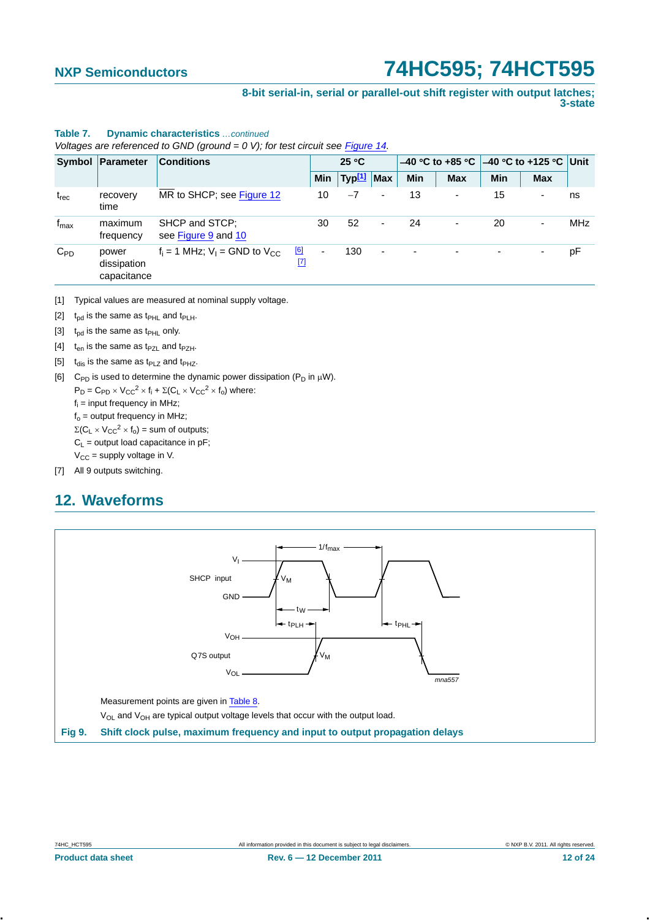**8-bit serial-in, serial or parallel-out shift register with output latches; 3-state**

|                  | voltages are referenced to GND (ground $= 0, 0, 10$ rest circuit see Figure 14. |                                                              |                          |                        |                          |                                              |            |            |                          |            |
|------------------|---------------------------------------------------------------------------------|--------------------------------------------------------------|--------------------------|------------------------|--------------------------|----------------------------------------------|------------|------------|--------------------------|------------|
|                  | Symbol Parameter<br><b>Conditions</b>                                           |                                                              |                          | 25 °C                  |                          | $-40$ °C to +85 °C $ -40$ °C to +125 °C Unit |            |            |                          |            |
|                  |                                                                                 |                                                              | Min                      | Typ <sup>[1]</sup> Max |                          | <b>Min</b>                                   | <b>Max</b> | <b>Min</b> | <b>Max</b>               |            |
| $t_{rec}$        | recovery<br>time                                                                | MR to SHCP; see Figure 12                                    | 10                       | $-7$                   | ۰                        | 13                                           |            | 15         | $\overline{\phantom{a}}$ | ns         |
| $f_{\text{max}}$ | maximum<br>frequency                                                            | SHCP and STCP:<br>see Figure 9 and 10                        | 30                       | 52                     | ٠                        | 24                                           |            | 20         | $\overline{\phantom{a}}$ | <b>MHz</b> |
| $C_{PD}$         | power<br>dissipation<br>capacitance                                             | [6]<br>$f_i = 1$ MHz; $V_i =$ GND to $V_{CC}$<br>$\boxed{7}$ | $\overline{\phantom{0}}$ | 130                    | $\overline{\phantom{a}}$ |                                              |            |            |                          | рF         |

### **Table 7. Dynamic characteristics** *…continued*

*Voltages are referenced to GND (ground = 0 V); for test circuit see Figure 14.*

- <span id="page-11-0"></span>[1] Typical values are measured at nominal supply voltage.
- <span id="page-11-2"></span>[2]  $t_{pd}$  is the same as  $t_{PHL}$  and  $t_{PLH}$ .
- <span id="page-11-3"></span>[3]  $t_{\text{od}}$  is the same as  $t_{\text{PHL}}$  only.
- <span id="page-11-4"></span>[4]  $t_{en}$  is the same as  $t_{PZ}$  and  $t_{PZH}$ .
- <span id="page-11-5"></span>[5]  $t_{dis}$  is the same as t<sub>PLZ</sub> and t<sub>PHZ</sub>.
- <span id="page-11-6"></span>[6] C<sub>PD</sub> is used to determine the dynamic power dissipation ( $P_D$  in  $\mu$ W).
	- $P_D = C_{PD} \times V_{CC}^2 \times f_i + \Sigma (C_L \times V_{CC}^2 \times f_0)$  where:
	- $f_i$  = input frequency in MHz;

 $f<sub>o</sub>$  = output frequency in MHz;

- $\Sigma(C_L \times V_{CC}^2 \times f_0)$  = sum of outputs;
- $C_L$  = output load capacitance in pF;
- $V_{CC}$  = supply voltage in V.
- <span id="page-11-7"></span>[7] All 9 outputs switching.

## <span id="page-11-8"></span>**12. Waveforms**

<span id="page-11-1"></span>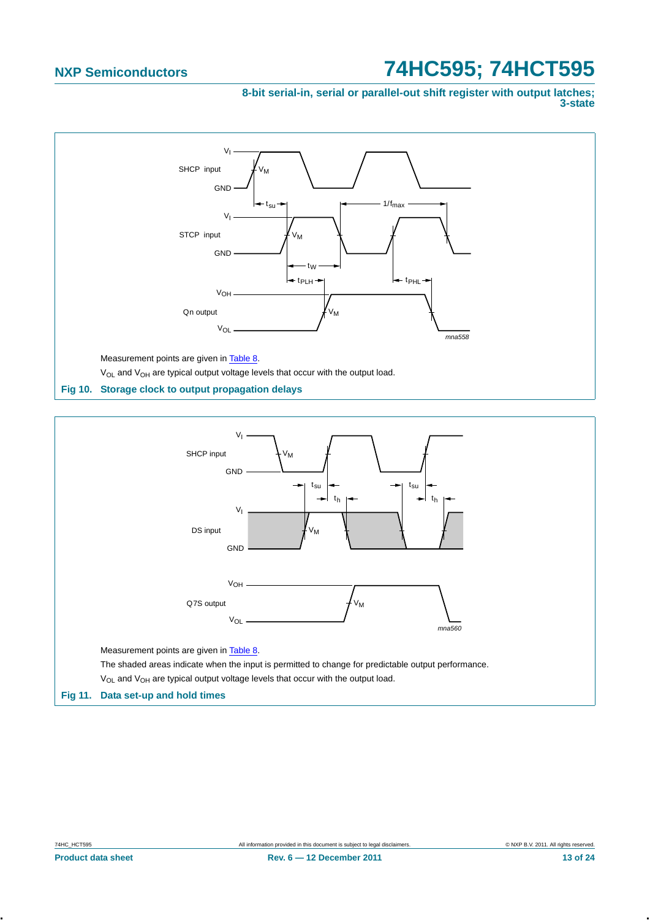**8-bit serial-in, serial or parallel-out shift register with output latches; 3-state**



<span id="page-12-1"></span><span id="page-12-0"></span>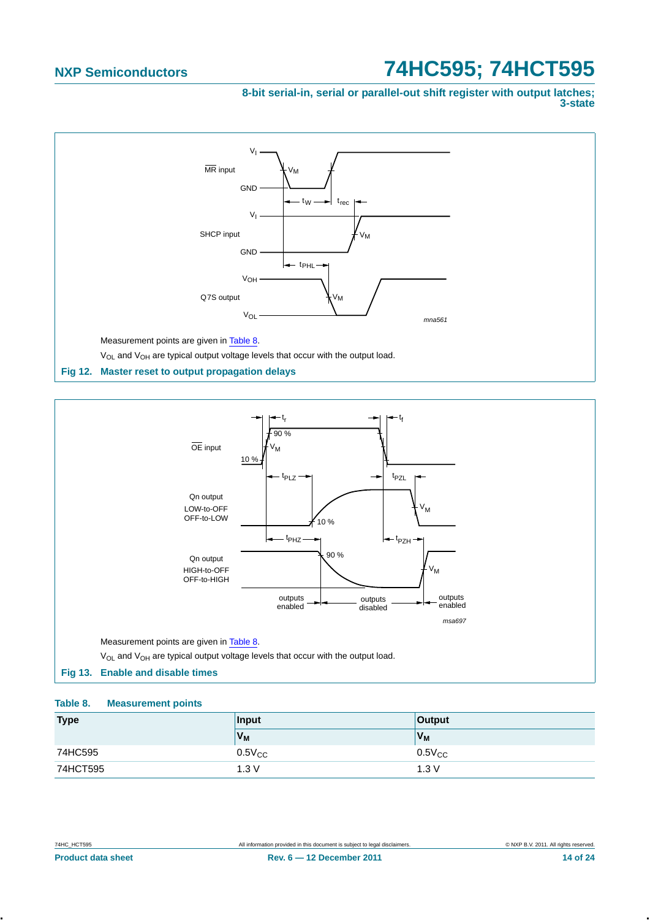**8-bit serial-in, serial or parallel-out shift register with output latches; 3-state**



<span id="page-13-0"></span>

### <span id="page-13-2"></span><span id="page-13-1"></span>**Table 8. Measurement points**

| <b>Type</b> | Input          | Output         |
|-------------|----------------|----------------|
|             | V <sub>M</sub> | V <sub>M</sub> |
| 74HC595     | $0.5V_{CC}$    | $0.5V_{CC}$    |
| 74HCT595    | 1.3V           | 1.3V           |
|             |                |                |
|             |                |                |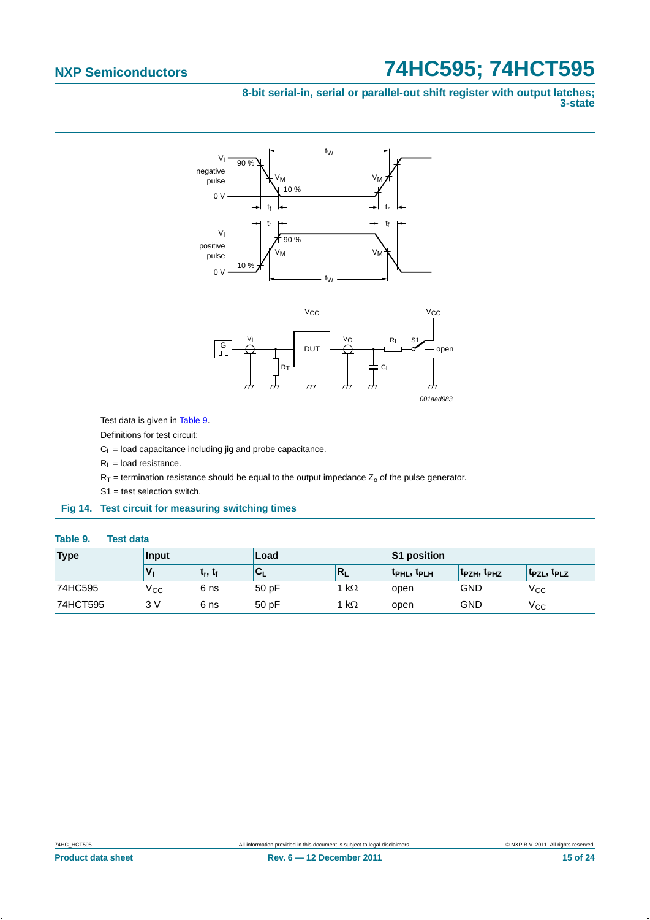### **8-bit serial-in, serial or parallel-out shift register with output latches; 3-state**



<span id="page-14-1"></span><span id="page-14-0"></span>

| Table 9.<br><b>Test data</b> |
|------------------------------|
|------------------------------|

| <b>Type</b> | Input |                                 | Load                      |              | S1 position       |                                     |                                     |
|-------------|-------|---------------------------------|---------------------------|--------------|-------------------|-------------------------------------|-------------------------------------|
|             |       | ւ <sub>r</sub> , ւ <sub>ք</sub> | $\mathbf{v}_{\mathsf{L}}$ | N            | <b>TPHL, TPLH</b> | t <sub>PZH</sub> , t <sub>PHZ</sub> | T <sub>PZL</sub> , T <sub>PLZ</sub> |
| 74HC595     | ⊻сс   | 6 ns                            | 50pF                      | k $\Omega$   | open              | <b>GND</b>                          | ⊻сс                                 |
| 74HCT595    | 3V    | 6 ns                            | 50pF                      | 1 k $\Omega$ | open              | GND                                 | ⊻сс                                 |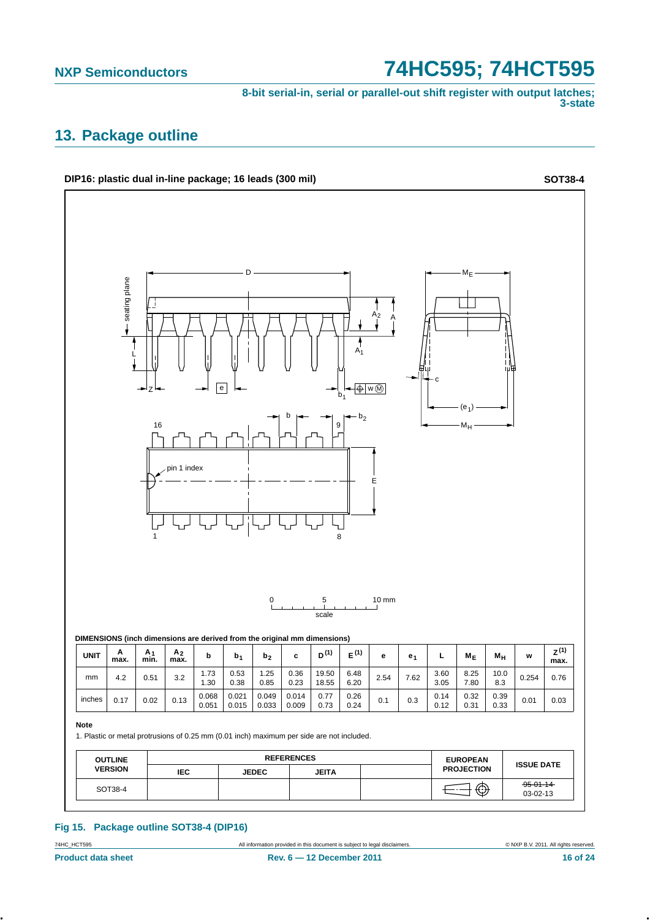**8-bit serial-in, serial or parallel-out shift register with output latches; 3-state**

## <span id="page-15-0"></span>**13. Package outline**



### **Fig 15. Package outline SOT38-4 (DIP16)**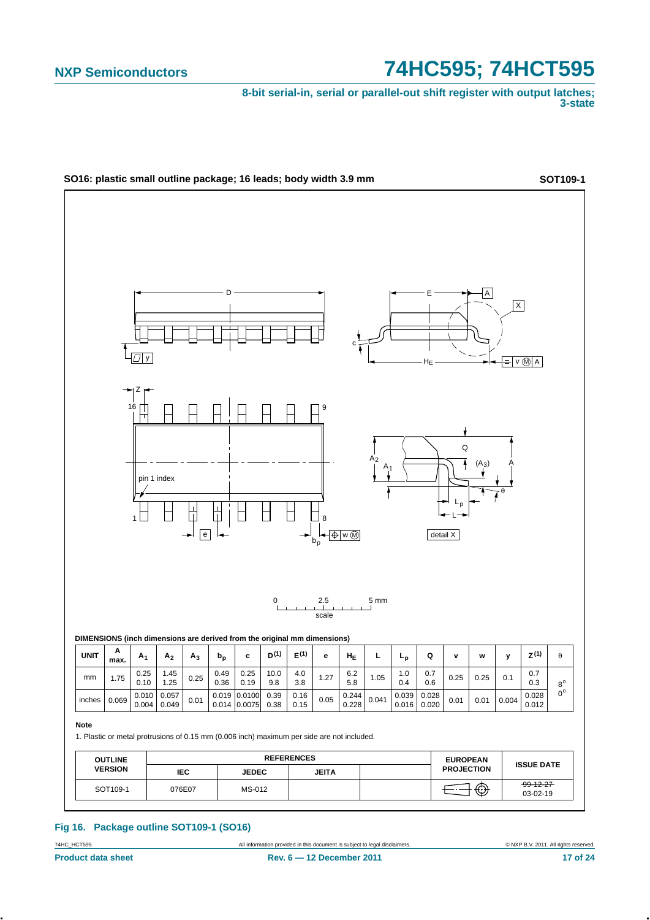**8-bit serial-in, serial or parallel-out shift register with output latches; 3-state**



### **Fig 16. Package outline SOT109-1 (SO16)**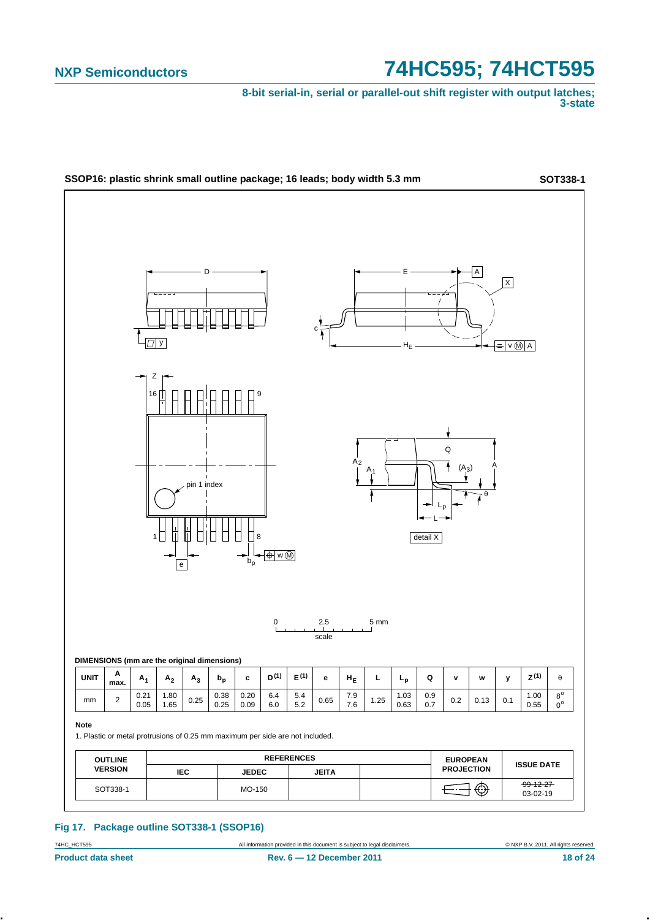**8-bit serial-in, serial or parallel-out shift register with output latches; 3-state**



### **Fig 17. Package outline SOT338-1 (SSOP16)**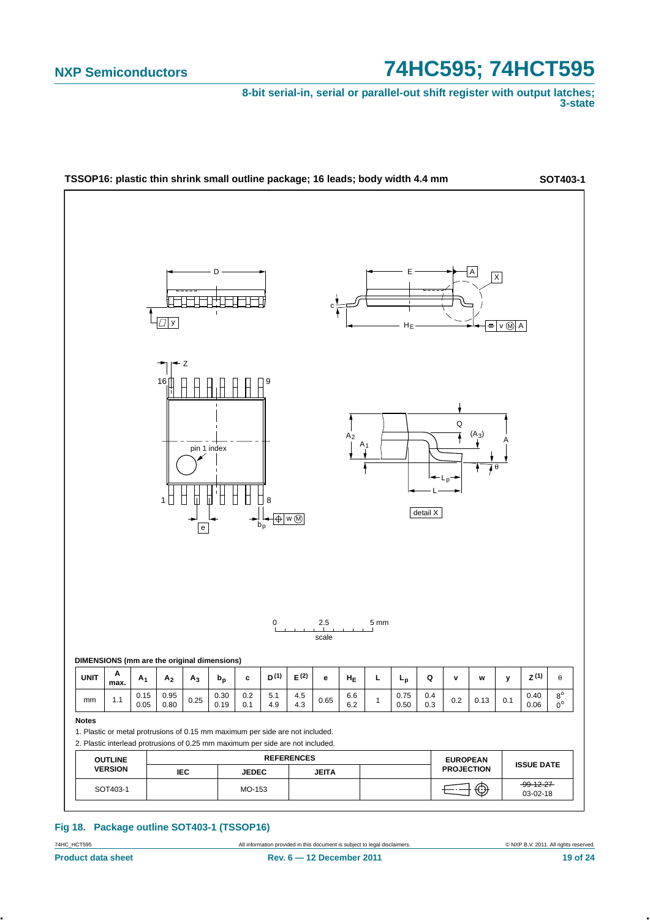**8-bit serial-in, serial or parallel-out shift register with output latches; 3-state**



### **Fig 18. Package outline SOT403-1 (TSSOP16)**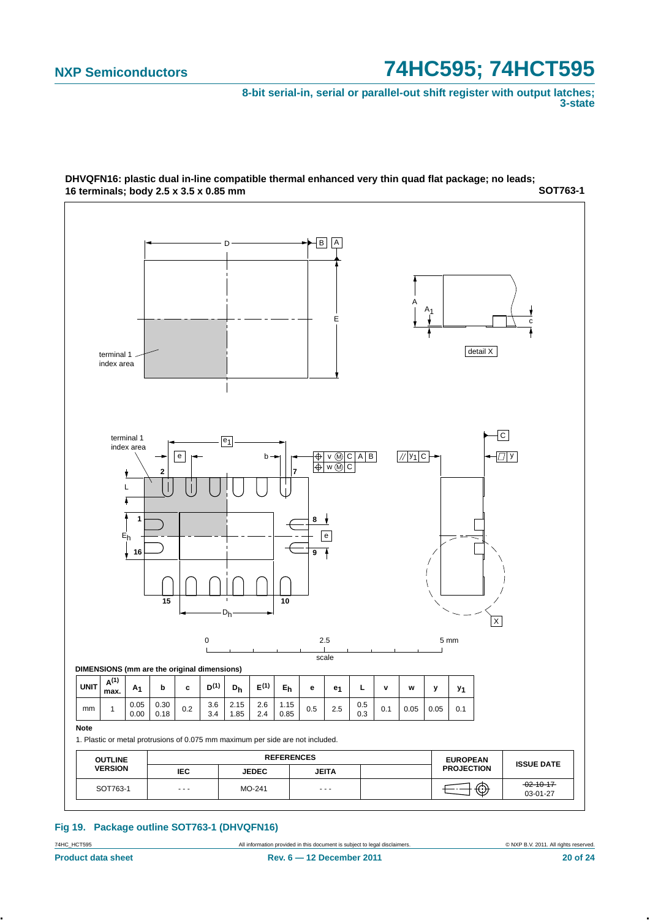**8-bit serial-in, serial or parallel-out shift register with output latches; 3-state**



**SOT763-1 DHVQFN16: plastic dual in-line compatible thermal enhanced very thin quad flat package; no leads; 16 terminals; body 2.5 x 3.5 x 0.85 mm**

### **Fig 19. Package outline SOT763-1 (DHVQFN16)**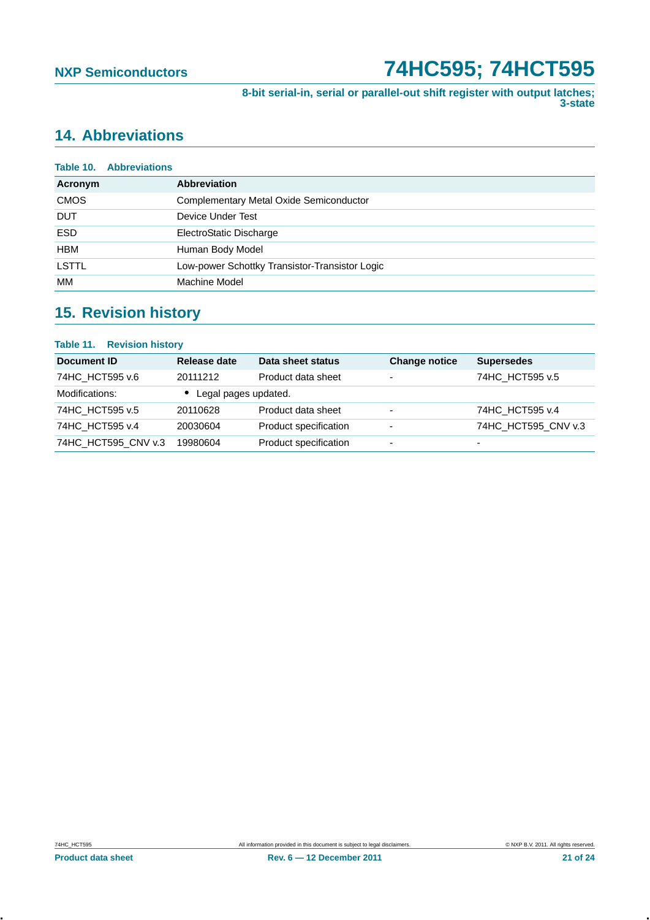**8-bit serial-in, serial or parallel-out shift register with output latches; 3-state**

## <span id="page-20-0"></span>**14. Abbreviations**

|              | <b>Table 10. Abbreviations</b> |                                                |
|--------------|--------------------------------|------------------------------------------------|
| Acronym      |                                | <b>Abbreviation</b>                            |
| <b>CMOS</b>  |                                | <b>Complementary Metal Oxide Semiconductor</b> |
| <b>DUT</b>   |                                | Device Under Test                              |
| <b>ESD</b>   |                                | ElectroStatic Discharge                        |
| <b>HBM</b>   |                                | Human Body Model                               |
| <b>LSTTL</b> |                                | Low-power Schottky Transistor-Transistor Logic |
| МM           |                                | Machine Model                                  |

## <span id="page-20-1"></span>**15. Revision history**

| <b>Table 11. Revision history</b> |                      |                       |                      |                     |
|-----------------------------------|----------------------|-----------------------|----------------------|---------------------|
| Document ID                       | Release date         | Data sheet status     | <b>Change notice</b> | <b>Supersedes</b>   |
| 74HC HCT595 v.6                   | 20111212             | Product data sheet    | ۰                    | 74HC HCT595 v.5     |
| Modifications:                    | Legal pages updated. |                       |                      |                     |
| 74HC HCT595 v.5                   | 20110628             | Product data sheet    | ۰                    | 74HC HCT595 v.4     |
| 74HC HCT595 v.4                   | 20030604             | Product specification | ٠                    | 74HC HCT595 CNV v.3 |
| 74HC HCT595 CNV v.3               | 19980604             | Product specification | ٠                    | $\overline{a}$      |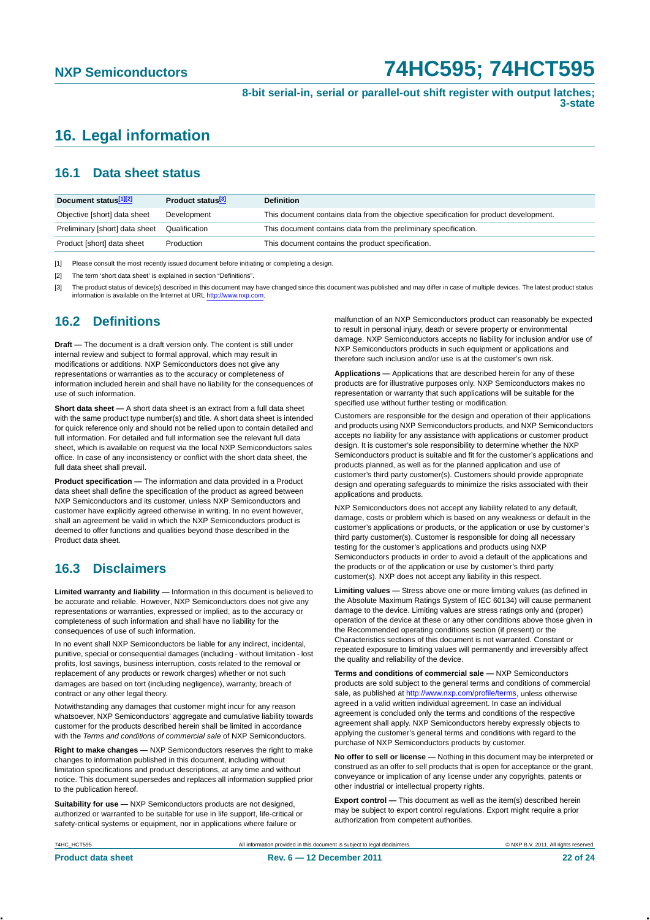**8-bit serial-in, serial or parallel-out shift register with output latches; 3-state**

## <span id="page-21-0"></span>**16. Legal information**

### <span id="page-21-1"></span>**16.1 Data sheet status**

| Document status[1][2]          | Product status <sup>[3]</sup> | <b>Definition</b>                                                                     |
|--------------------------------|-------------------------------|---------------------------------------------------------------------------------------|
| Objective [short] data sheet   | Development                   | This document contains data from the objective specification for product development. |
| Preliminary [short] data sheet | Qualification                 | This document contains data from the preliminary specification.                       |
| Product [short] data sheet     | Production                    | This document contains the product specification.                                     |

[1] Please consult the most recently issued document before initiating or completing a design.

[2] The term 'short data sheet' is explained in section "Definitions".

[3] The product status of device(s) described in this document may have changed since this document was published and may differ in case of multiple devices. The latest product status<br>information is available on the Intern

### <span id="page-21-2"></span>**16.2 Definitions**

**Draft —** The document is a draft version only. The content is still under internal review and subject to formal approval, which may result in modifications or additions. NXP Semiconductors does not give any representations or warranties as to the accuracy or completeness of information included herein and shall have no liability for the consequences of use of such information.

**Short data sheet —** A short data sheet is an extract from a full data sheet with the same product type number(s) and title. A short data sheet is intended for quick reference only and should not be relied upon to contain detailed and full information. For detailed and full information see the relevant full data sheet, which is available on request via the local NXP Semiconductors sales office. In case of any inconsistency or conflict with the short data sheet, the full data sheet shall prevail.

**Product specification —** The information and data provided in a Product data sheet shall define the specification of the product as agreed between NXP Semiconductors and its customer, unless NXP Semiconductors and customer have explicitly agreed otherwise in writing. In no event however, shall an agreement be valid in which the NXP Semiconductors product is deemed to offer functions and qualities beyond those described in the Product data sheet.

### <span id="page-21-3"></span>**16.3 Disclaimers**

**Limited warranty and liability —** Information in this document is believed to be accurate and reliable. However, NXP Semiconductors does not give any representations or warranties, expressed or implied, as to the accuracy or completeness of such information and shall have no liability for the consequences of use of such information.

In no event shall NXP Semiconductors be liable for any indirect, incidental, punitive, special or consequential damages (including - without limitation - lost profits, lost savings, business interruption, costs related to the removal or replacement of any products or rework charges) whether or not such damages are based on tort (including negligence), warranty, breach of contract or any other legal theory.

Notwithstanding any damages that customer might incur for any reason whatsoever, NXP Semiconductors' aggregate and cumulative liability towards customer for the products described herein shall be limited in accordance with the *Terms and conditions of commercial sale* of NXP Semiconductors.

**Right to make changes —** NXP Semiconductors reserves the right to make changes to information published in this document, including without limitation specifications and product descriptions, at any time and without notice. This document supersedes and replaces all information supplied prior<br>to the publication hereof.<br>**Suitability for use —** NXP Semiconductors products are not designed. to the publication hereof.

**Suitability for use —** NXP Semiconductors products are not designed, authorized or warranted to be suitable for use in life support, life-critical or safety-critical systems or equipment, nor in applications where failure or

malfunction of an NXP Semiconductors product can reasonably be expected to result in personal injury, death or severe property or environmental damage. NXP Semiconductors accepts no liability for inclusion and/or use of NXP Semiconductors products in such equipment or applications and therefore such inclusion and/or use is at the customer's own risk.

**Applications —** Applications that are described herein for any of these products are for illustrative purposes only. NXP Semiconductors makes no representation or warranty that such applications will be suitable for the specified use without further testing or modification.

Customers are responsible for the design and operation of their applications and products using NXP Semiconductors products, and NXP Semiconductors accepts no liability for any assistance with applications or customer product design. It is customer's sole responsibility to determine whether the NXP Semiconductors product is suitable and fit for the customer's applications and products planned, as well as for the planned application and use of customer's third party customer(s). Customers should provide appropriate design and operating safeguards to minimize the risks associated with their applications and products.

NXP Semiconductors does not accept any liability related to any default, damage, costs or problem which is based on any weakness or default in the customer's applications or products, or the application or use by customer's third party customer(s). Customer is responsible for doing all necessary testing for the customer's applications and products using NXP Semiconductors products in order to avoid a default of the applications and the products or of the application or use by customer's third party customer(s). NXP does not accept any liability in this respect.

**Limiting values —** Stress above one or more limiting values (as defined in the Absolute Maximum Ratings System of IEC 60134) will cause permanent damage to the device. Limiting values are stress ratings only and (proper) operation of the device at these or any other conditions above those given in the Recommended operating conditions section (if present) or the Characteristics sections of this document is not warranted. Constant or repeated exposure to limiting values will permanently and irreversibly affect the quality and reliability of the device.

**Terms and conditions of commercial sale —** NXP Semiconductors products are sold subject to the general terms and conditions of commercial sale, as published at<http://www.nxp.com/profile/terms>, unless otherwise agreed in a valid written individual agreement. In case an individual agreement is concluded only the terms and conditions of the respective agreement shall apply. NXP Semiconductors hereby expressly objects to applying the customer's general terms and conditions with regard to the purchase of NXP Semiconductors products by customer.

**No offer to sell or license —** Nothing in this document may be interpreted or construed as an offer to sell products that is open for acceptance or the grant, conveyance or implication of any license under any copyrights, patents or other industrial or intellectual property rights.

**Export control —** This document as well as the item(s) described herein may be subject to export control regulations. Export might require a prior authorization from competent authorities.

**Product data sheet Rev. 6 — 12 December 2011** 22 of 24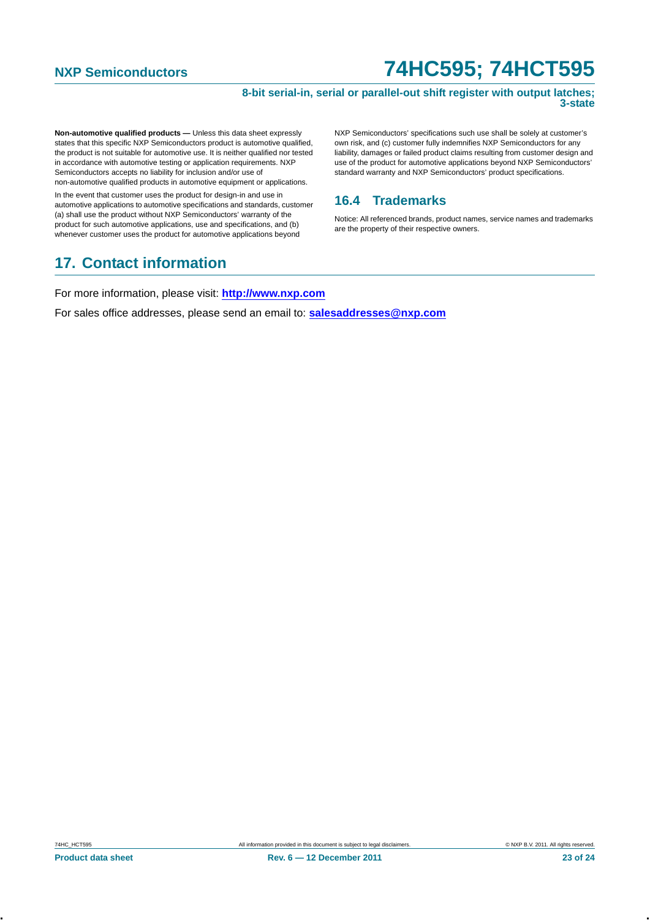### **8-bit serial-in, serial or parallel-out shift register with output latches; 3-state**

**Non-automotive qualified products — Unless this data sheet expressly** states that this specific NXP Semiconductors product is automotive qualified, the product is not suitable for automotive use. It is neither qualified nor tested in accordance with automotive testing or application requirements. NXP Semiconductors accepts no liability for inclusion and/or use of non-automotive qualified products in automotive equipment or applications.

In the event that customer uses the product for design-in and use in automotive applications to automotive specifications and standards, customer (a) shall use the product without NXP Semiconductors' warranty of the product for such automotive applications, use and specifications, and (b) whenever customer uses the product for automotive applications beyond

## <span id="page-22-1"></span>**17. Contact information**

NXP Semiconductors' specifications such use shall be solely at customer's own risk, and (c) customer fully indemnifies NXP Semiconductors for any liability, damages or failed product claims resulting from customer design and use of the product for automotive applications beyond NXP Semiconductors' standard warranty and NXP Semiconductors' product specifications.

## <span id="page-22-0"></span>**16.4 Trademarks**

Notice: All referenced brands, product names, service names and trademarks are the property of their respective owners.

For more information, please visit: **http://www.nxp.com**

For sales office addresses, please send an email to: **salesaddresses@nxp.com**